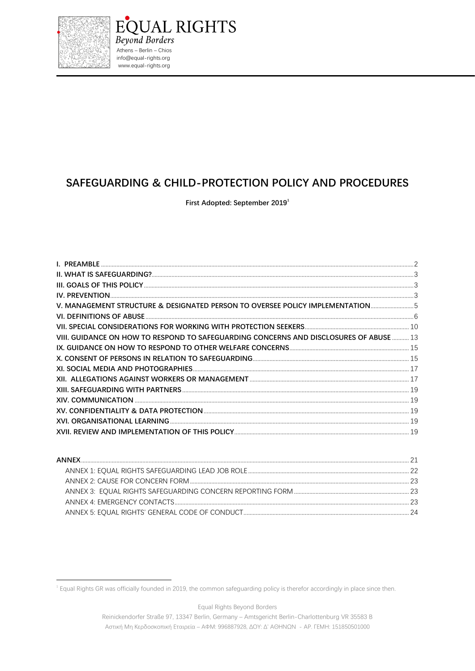

# SAFEGUARDING & CHILD-PROTECTION POLICY AND PROCEDURES

**QUAL RIGHTS** 

First Adopted: September 2019<sup>1</sup>

| V. MANAGEMENT STRUCTURE & DESIGNATED PERSON TO OVERSEE POLICY IMPLEMENTATION5          |  |
|----------------------------------------------------------------------------------------|--|
|                                                                                        |  |
|                                                                                        |  |
| VIII. GUIDANCE ON HOW TO RESPOND TO SAFEGUARDING CONCERNS AND DISCLOSURES OF ABUSE  13 |  |
|                                                                                        |  |
|                                                                                        |  |
|                                                                                        |  |
|                                                                                        |  |
|                                                                                        |  |
|                                                                                        |  |
|                                                                                        |  |
|                                                                                        |  |
|                                                                                        |  |
|                                                                                        |  |

Equal Rights Beyond Borders

<sup>&</sup>lt;sup>1</sup> Equal Rights GR was officially founded in 2019, the common safeguarding policy is therefor accordingly in place since then.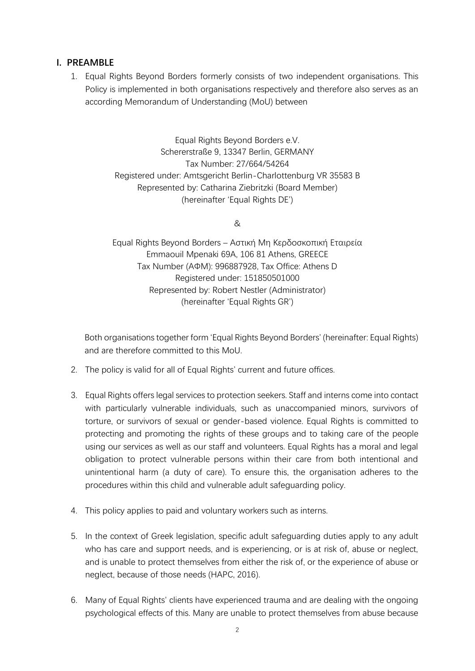### **I. PREAMBLE**

1. Equal Rights Beyond Borders formerly consists of two independent organisations. This Policy is implemented in both organisations respectively and therefore also serves as an according Memorandum of Understanding (MoU) between

> Equal Rights Beyond Borders e.V. Schererstraße 9, 13347 Berlin, GERMANY Tax Number: 27/664/54264 Registered under: Amtsgericht Berlin-Charlottenburg VR 35583 B Represented by: Catharina Ziebritzki (Board Member) (hereinafter 'Equal Rights DE')

> > &

Equal Rights Beyond Borders – Αστική Μη Κερδοσκοπική Εταιρεία Emmaouil Mpenaki 69A, 106 81 Athens, GREECE Tax Number (ΑΦΜ): 996887928, Tax Office: Athens D Registered under: 151850501000 Represented by: Robert Nestler (Administrator) (hereinafter 'Equal Rights GR')

Both organisations together form 'Equal Rights Beyond Borders' (hereinafter: Equal Rights) and are therefore committed to this MoU.

- 2. The policy is valid for all of Equal Rights' current and future offices.
- 3. Equal Rights offers legal services to protection seekers. Staff and interns come into contact with particularly vulnerable individuals, such as unaccompanied minors, survivors of torture, or survivors of sexual or gender-based violence. Equal Rights is committed to protecting and promoting the rights of these groups and to taking care of the people using our services as well as our staff and volunteers. Equal Rights has a moral and legal obligation to protect vulnerable persons within their care from both intentional and unintentional harm (a duty of care). To ensure this, the organisation adheres to the procedures within this child and vulnerable adult safeguarding policy.
- 4. This policy applies to paid and voluntary workers such as interns.
- 5. In the context of Greek legislation, specific adult safeguarding duties apply to any adult who has care and support needs, and is experiencing, or is at risk of, abuse or neglect, and is unable to protect themselves from either the risk of, or the experience of abuse or neglect, because of those needs (HAPC, 2016).
- 6. Many of Equal Rights' clients have experienced trauma and are dealing with the ongoing psychological effects of this. Many are unable to protect themselves from abuse because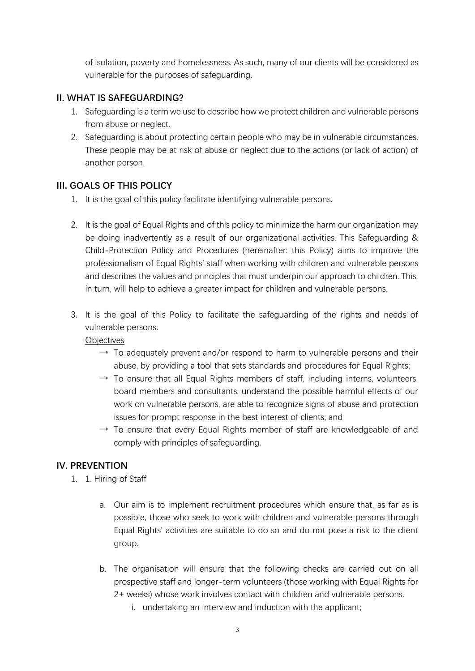of isolation, poverty and homelessness. As such, many of our clients will be considered as vulnerable for the purposes of safeguarding.

## **II. WHAT IS SAFEGUARDING?**

- 1. Safeguarding is a term we use to describe how we protect children and vulnerable persons from abuse or neglect.
- 2. Safeguarding is about protecting certain people who may be in vulnerable circumstances. These people may be at risk of abuse or neglect due to the actions (or lack of action) of another person.

#### **III. GOALS OF THIS POLICY**

- 1. It is the goal of this policy facilitate identifying vulnerable persons.
- 2. It is the goal of Equal Rights and of this policy to minimize the harm our organization may be doing inadvertently as a result of our organizational activities. This Safeguarding & Child-Protection Policy and Procedures (hereinafter: this Policy) aims to improve the professionalism of Equal Rights' staff when working with children and vulnerable persons and describes the values and principles that must underpin our approach to children. This, in turn, will help to achieve a greater impact for children and vulnerable persons.
- 3. It is the goal of this Policy to facilitate the safeguarding of the rights and needs of vulnerable persons.

**Objectives** 

- $\rightarrow$  To adequately prevent and/or respond to harm to vulnerable persons and their abuse, by providing a tool that sets standards and procedures for Equal Rights;
- $\rightarrow$  To ensure that all Equal Rights members of staff, including interns, volunteers, board members and consultants, understand the possible harmful effects of our work on vulnerable persons, are able to recognize signs of abuse and protection issues for prompt response in the best interest of clients; and
- $\rightarrow$  To ensure that every Equal Rights member of staff are knowledgeable of and comply with principles of safeguarding.

## **IV. PREVENTION**

- 1. 1. Hiring of Staff
	- a. Our aim is to implement recruitment procedures which ensure that, as far as is possible, those who seek to work with children and vulnerable persons through Equal Rights' activities are suitable to do so and do not pose a risk to the client group.
	- b. The organisation will ensure that the following checks are carried out on all prospective staff and longer-term volunteers (those working with Equal Rights for 2+ weeks) whose work involves contact with children and vulnerable persons.
		- i. undertaking an interview and induction with the applicant;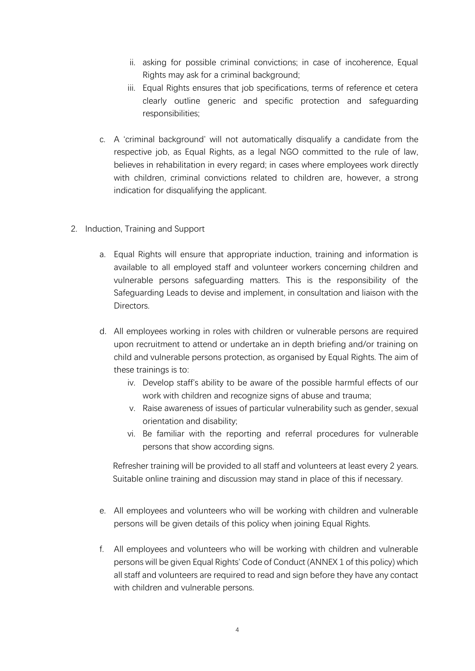- ii. asking for possible criminal convictions; in case of incoherence, Equal Rights may ask for a criminal background;
- iii. Equal Rights ensures that job specifications, terms of reference et cetera clearly outline generic and specific protection and safeguarding responsibilities;
- c. A 'criminal background' will not automatically disqualify a candidate from the respective job, as Equal Rights, as a legal NGO committed to the rule of law, believes in rehabilitation in every regard; in cases where employees work directly with children, criminal convictions related to children are, however, a strong indication for disqualifying the applicant.
- 2. Induction, Training and Support
	- a. Equal Rights will ensure that appropriate induction, training and information is available to all employed staff and volunteer workers concerning children and vulnerable persons safeguarding matters. This is the responsibility of the Safeguarding Leads to devise and implement, in consultation and liaison with the Directors.
	- d. All employees working in roles with children or vulnerable persons are required upon recruitment to attend or undertake an in depth briefing and/or training on child and vulnerable persons protection, as organised by Equal Rights. The aim of these trainings is to:
		- iv. Develop staff's ability to be aware of the possible harmful effects of our work with children and recognize signs of abuse and trauma;
		- v. Raise awareness of issues of particular vulnerability such as gender, sexual orientation and disability;
		- vi. Be familiar with the reporting and referral procedures for vulnerable persons that show according signs.

Refresher training will be provided to all staff and volunteers at least every 2 years. Suitable online training and discussion may stand in place of this if necessary.

- e. All employees and volunteers who will be working with children and vulnerable persons will be given details of this policy when joining Equal Rights.
- f. All employees and volunteers who will be working with children and vulnerable persons will be given Equal Rights' Code of Conduct (ANNEX 1 of this policy) which all staff and volunteers are required to read and sign before they have any contact with children and vulnerable persons.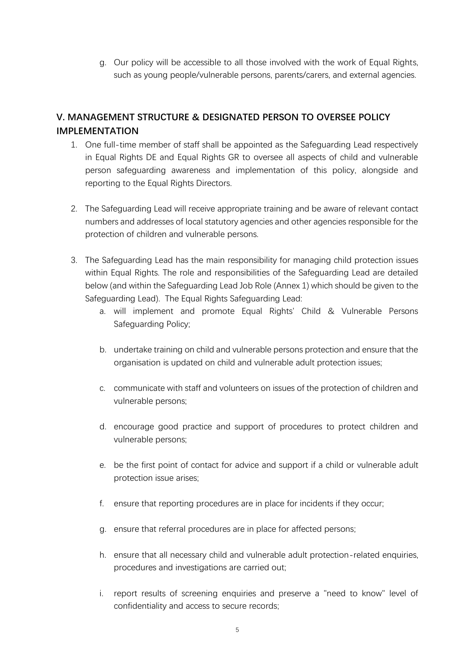g. Our policy will be accessible to all those involved with the work of Equal Rights, such as young people/vulnerable persons, parents/carers, and external agencies.

## **V. MANAGEMENT STRUCTURE & DESIGNATED PERSON TO OVERSEE POLICY IMPLEMENTATION**

- 1. One full-time member of staff shall be appointed as the Safeguarding Lead respectively in Equal Rights DE and Equal Rights GR to oversee all aspects of child and vulnerable person safeguarding awareness and implementation of this policy, alongside and reporting to the Equal Rights Directors.
- 2. The Safeguarding Lead will receive appropriate training and be aware of relevant contact numbers and addresses of local statutory agencies and other agencies responsible for the protection of children and vulnerable persons.
- 3. The Safeguarding Lead has the main responsibility for managing child protection issues within Equal Rights. The role and responsibilities of the Safeguarding Lead are detailed below (and within the Safeguarding Lead Job Role (Annex 1) which should be given to the Safeguarding Lead). The Equal Rights Safeguarding Lead:
	- a. will implement and promote Equal Rights' Child & Vulnerable Persons Safeguarding Policy;
	- b. undertake training on child and vulnerable persons protection and ensure that the organisation is updated on child and vulnerable adult protection issues;
	- c. communicate with staff and volunteers on issues of the protection of children and vulnerable persons;
	- d. encourage good practice and support of procedures to protect children and vulnerable persons;
	- e. be the first point of contact for advice and support if a child or vulnerable adult protection issue arises;
	- f. ensure that reporting procedures are in place for incidents if they occur;
	- g. ensure that referral procedures are in place for affected persons;
	- h. ensure that all necessary child and vulnerable adult protection-related enquiries, procedures and investigations are carried out;
	- i. report results of screening enquiries and preserve a "need to know" level of confidentiality and access to secure records;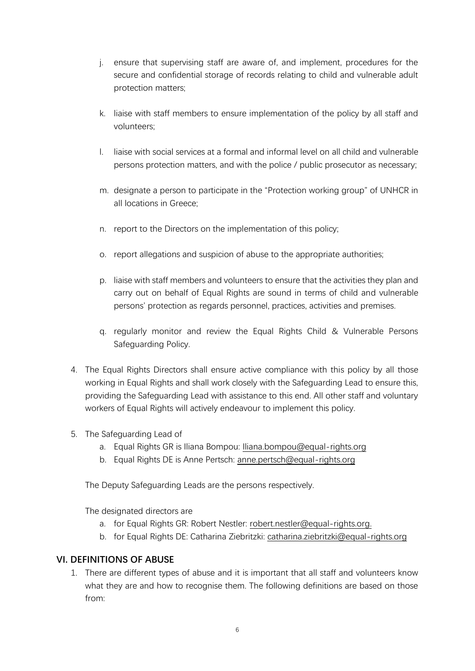- j. ensure that supervising staff are aware of, and implement, procedures for the secure and confidential storage of records relating to child and vulnerable adult protection matters;
- k. liaise with staff members to ensure implementation of the policy by all staff and volunteers;
- l. liaise with social services at a formal and informal level on all child and vulnerable persons protection matters, and with the police / public prosecutor as necessary;
- m. designate a person to participate in the "Protection working group" of UNHCR in all locations in Greece;
- n. report to the Directors on the implementation of this policy;
- o. report allegations and suspicion of abuse to the appropriate authorities;
- p. liaise with staff members and volunteers to ensure that the activities they plan and carry out on behalf of Equal Rights are sound in terms of child and vulnerable persons' protection as regards personnel, practices, activities and premises.
- q. regularly monitor and review the Equal Rights Child & Vulnerable Persons Safeguarding Policy.
- 4. The Equal Rights Directors shall ensure active compliance with this policy by all those working in Equal Rights and shall work closely with the Safeguarding Lead to ensure this, providing the Safeguarding Lead with assistance to this end. All other staff and voluntary workers of Equal Rights will actively endeavour to implement this policy.
- 5. The Safeguarding Lead of
	- a. Equal Rights GR is Iliana Bompou: Iliana.bompou@equal-rights.org
	- b. Equal Rights DE is Anne Pertsch: anne.pertsch@equal-rights.org

The Deputy Safeguarding Leads are the persons respectively.

The designated directors are

- a. for Equal Rights GR: Robert Nestler: robert.nestler@equal-rights.org.
- b. for Equal Rights DE: Catharina Ziebritzki: catharina.ziebritzki@equal-rights.org

## **VI. DEFINITIONS OF ABUSE**

1. There are different types of abuse and it is important that all staff and volunteers know what they are and how to recognise them. The following definitions are based on those from: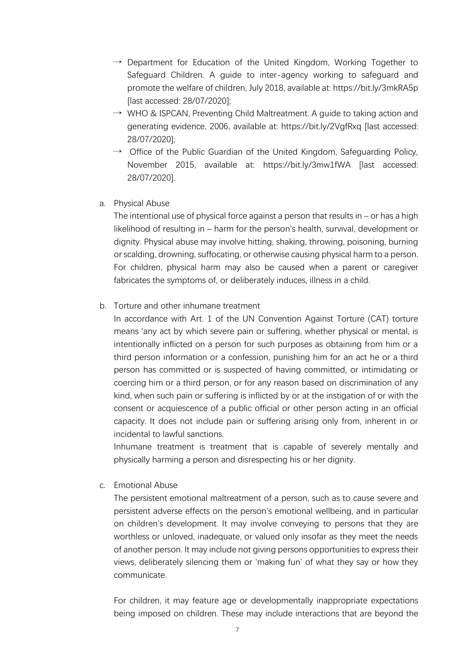- $\rightarrow$  Department for Education of the United Kingdom, Working Together to Safeguard Children. A guide to inter-agency working to safeguard and promote the welfare of children, July 2018, available at: https://bit.ly/3mkRA5p [last accessed: 28/07/2020];
- $\rightarrow$  WHO & ISPCAN, Preventing Child Maltreatment. A guide to taking action and generating evidence, 2006, available at: https://bit.ly/2VgfRxq [last accessed: 28/07/2020];
- $\rightarrow$  Office of the Public Guardian of the United Kingdom, Safeguarding Policy, November 2015, available at: https://bit.ly/3mw1fWA [last accessed: 28/07/2020].
- a. Physical Abuse

The intentional use of physical force against a person that results in  $-$  or has a high likelihood of resulting in – harm for the person's health, survival, development or dignity. Physical abuse may involve hitting, shaking, throwing, poisoning, burning or scalding, drowning, suffocating, or otherwise causing physical harm to a person. For children, physical harm may also be caused when a parent or caregiver fabricates the symptoms of, or deliberately induces, illness in a child.

b. Torture and other inhumane treatment

In accordance with Art. 1 of the UN Convention Against Torture (CAT) torture means 'any act by which severe pain or suffering, whether physical or mental, is intentionally inflicted on a person for such purposes as obtaining from him or a third person information or a confession, punishing him for an act he or a third person has committed or is suspected of having committed, or intimidating or coercing him or a third person, or for any reason based on discrimination of any kind, when such pain or suffering is inflicted by or at the instigation of or with the consent or acquiescence of a public official or other person acting in an official capacity. It does not include pain or suffering arising only from, inherent in or incidental to lawful sanctions.

Inhumane treatment is treatment that is capable of severely mentally and physically harming a person and disrespecting his or her dignity.

c. Emotional Abuse

The persistent emotional maltreatment of a person, such as to cause severe and persistent adverse effects on the person's emotional wellbeing, and in particular on children's development. It may involve conveying to persons that they are worthless or unloved, inadequate, or valued only insofar as they meet the needs of another person. It may include not giving persons opportunities to express their views, deliberately silencing them or 'making fun' of what they say or how they communicate.

For children, it may feature age or developmentally inappropriate expectations being imposed on children. These may include interactions that are beyond the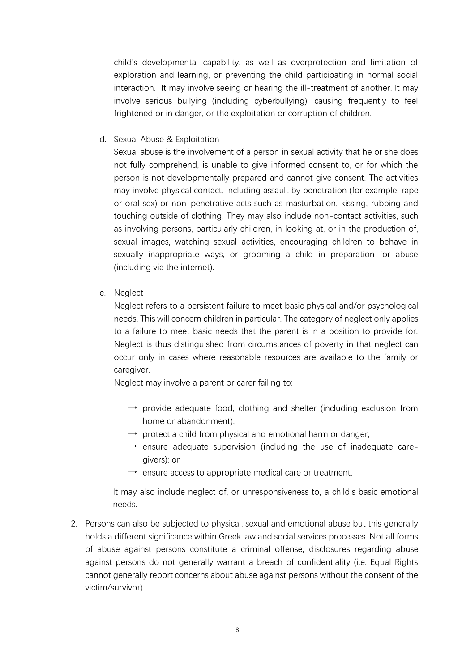child's developmental capability, as well as overprotection and limitation of exploration and learning, or preventing the child participating in normal social interaction. It may involve seeing or hearing the ill-treatment of another. It may involve serious bullying (including cyberbullying), causing frequently to feel frightened or in danger, or the exploitation or corruption of children.

d. Sexual Abuse & Exploitation

Sexual abuse is the involvement of a person in sexual activity that he or she does not fully comprehend, is unable to give informed consent to, or for which the person is not developmentally prepared and cannot give consent. The activities may involve physical contact, including assault by penetration (for example, rape or oral sex) or non-penetrative acts such as masturbation, kissing, rubbing and touching outside of clothing. They may also include non-contact activities, such as involving persons, particularly children, in looking at, or in the production of, sexual images, watching sexual activities, encouraging children to behave in sexually inappropriate ways, or grooming a child in preparation for abuse (including via the internet).

e. Neglect

Neglect refers to a persistent failure to meet basic physical and/or psychological needs. This will concern children in particular. The category of neglect only applies to a failure to meet basic needs that the parent is in a position to provide for. Neglect is thus distinguished from circumstances of poverty in that neglect can occur only in cases where reasonable resources are available to the family or caregiver.

Neglect may involve a parent or carer failing to:

- $\rightarrow$  provide adequate food, clothing and shelter (including exclusion from home or abandonment);
- $\rightarrow$  protect a child from physical and emotional harm or danger;
- $\rightarrow$  ensure adequate supervision (including the use of inadequate caregivers); or
- $\rightarrow$  ensure access to appropriate medical care or treatment.

It may also include neglect of, or unresponsiveness to, a child's basic emotional needs.

2. Persons can also be subjected to physical, sexual and emotional abuse but this generally holds a different significance within Greek law and social services processes. Not all forms of abuse against persons constitute a criminal offense, disclosures regarding abuse against persons do not generally warrant a breach of confidentiality (i.e. Equal Rights cannot generally report concerns about abuse against persons without the consent of the victim/survivor).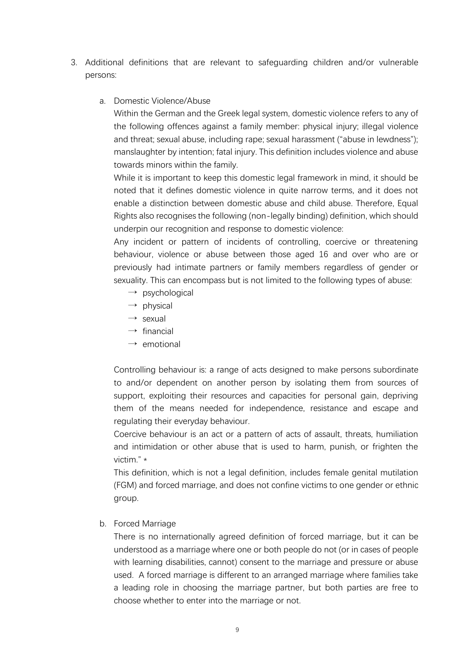- 3. Additional definitions that are relevant to safeguarding children and/or vulnerable persons:
	- a. Domestic Violence/Abuse

Within the German and the Greek legal system, domestic violence refers to any of the following offences against a family member: physical injury; illegal violence and threat; sexual abuse, including rape; sexual harassment ("abuse in lewdness"); manslaughter by intention; fatal injury. This definition includes violence and abuse towards minors within the family.

While it is important to keep this domestic legal framework in mind, it should be noted that it defines domestic violence in quite narrow terms, and it does not enable a distinction between domestic abuse and child abuse. Therefore, Equal Rights also recognises the following (non-legally binding) definition, which should underpin our recognition and response to domestic violence:

Any incident or pattern of incidents of controlling, coercive or threatening behaviour, violence or abuse between those aged 16 and over who are or previously had intimate partners or family members regardless of gender or sexuality. This can encompass but is not limited to the following types of abuse:

- $\rightarrow$  psychological
- $\rightarrow$  physical
- $\rightarrow$  sexual
- $\rightarrow$  financial
- $\rightarrow$  emotional

Controlling behaviour is: a range of acts designed to make persons subordinate to and/or dependent on another person by isolating them from sources of support, exploiting their resources and capacities for personal gain, depriving them of the means needed for independence, resistance and escape and regulating their everyday behaviour.

Coercive behaviour is an act or a pattern of acts of assault, threats, humiliation and intimidation or other abuse that is used to harm, punish, or frighten the victim." \*

This definition, which is not a legal definition, includes female genital mutilation (FGM) and forced marriage, and does not confine victims to one gender or ethnic group.

b. Forced Marriage

There is no internationally agreed definition of forced marriage, but it can be understood as a marriage where one or both people do not (or in cases of people with learning disabilities, cannot) consent to the marriage and pressure or abuse used. A forced marriage is different to an arranged marriage where families take a leading role in choosing the marriage partner, but both parties are free to choose whether to enter into the marriage or not.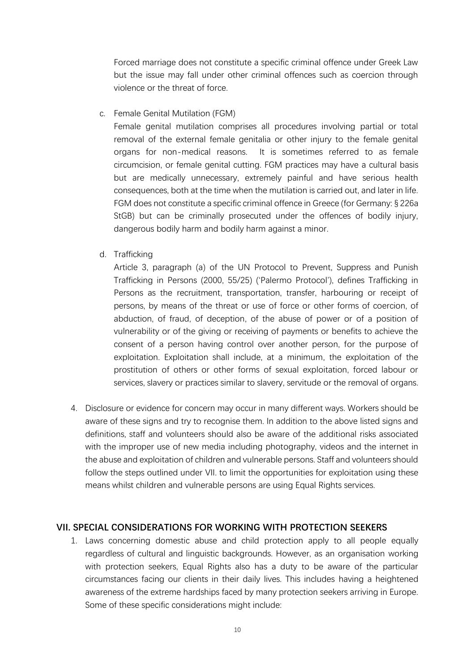Forced marriage does not constitute a specific criminal offence under Greek Law but the issue may fall under other criminal offences such as coercion through violence or the threat of force.

c. Female Genital Mutilation (FGM)

Female genital mutilation comprises all procedures involving partial or total removal of the external female genitalia or other injury to the female genital organs for non-medical reasons. It is sometimes referred to as female circumcision, or female genital cutting. FGM practices may have a cultural basis but are medically unnecessary, extremely painful and have serious health consequences, both at the time when the mutilation is carried out, and later in life. FGM does not constitute a specific criminal offence in Greece (for Germany: § 226a StGB) but can be criminally prosecuted under the offences of bodily injury, dangerous bodily harm and bodily harm against a minor.

d. Trafficking

Article 3, paragraph (a) of the UN Protocol to Prevent, Suppress and Punish Trafficking in Persons (2000, 55/25) ('Palermo Protocol'), defines Trafficking in Persons as the recruitment, transportation, transfer, harbouring or receipt of persons, by means of the threat or use of force or other forms of coercion, of abduction, of fraud, of deception, of the abuse of power or of a position of vulnerability or of the giving or receiving of payments or benefits to achieve the consent of a person having control over another person, for the purpose of exploitation. Exploitation shall include, at a minimum, the exploitation of the prostitution of others or other forms of sexual exploitation, forced labour or services, slavery or practices similar to slavery, servitude or the removal of organs.

4. Disclosure or evidence for concern may occur in many different ways. Workers should be aware of these signs and try to recognise them. In addition to the above listed signs and definitions, staff and volunteers should also be aware of the additional risks associated with the improper use of new media including photography, videos and the internet in the abuse and exploitation of children and vulnerable persons. Staff and volunteers should follow the steps outlined under VII. to limit the opportunities for exploitation using these means whilst children and vulnerable persons are using Equal Rights services.

#### **VII. SPECIAL CONSIDERATIONS FOR WORKING WITH PROTECTION SEEKERS**

1. Laws concerning domestic abuse and child protection apply to all people equally regardless of cultural and linguistic backgrounds. However, as an organisation working with protection seekers, Equal Rights also has a duty to be aware of the particular circumstances facing our clients in their daily lives. This includes having a heightened awareness of the extreme hardships faced by many protection seekers arriving in Europe. Some of these specific considerations might include: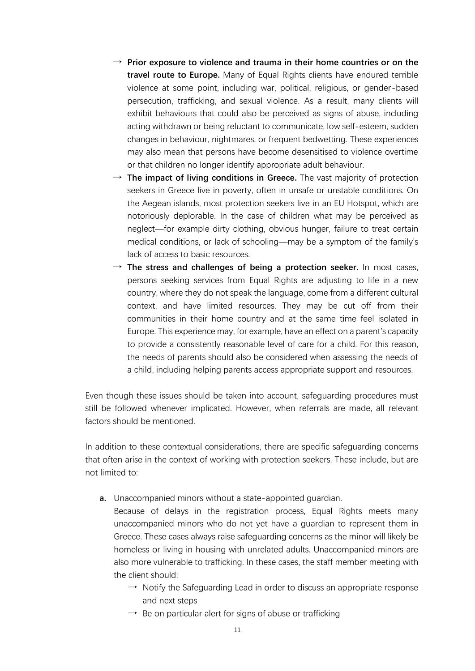- $\rightarrow$  Prior exposure to violence and trauma in their home countries or on the **travel route to Europe.** Many of Equal Rights clients have endured terrible violence at some point, including war, political, religious, or gender-based persecution, trafficking, and sexual violence. As a result, many clients will exhibit behaviours that could also be perceived as signs of abuse, including acting withdrawn or being reluctant to communicate, low self-esteem, sudden changes in behaviour, nightmares, or frequent bedwetting. These experiences may also mean that persons have become desensitised to violence overtime or that children no longer identify appropriate adult behaviour.
- $\rightarrow$  The impact of living conditions in Greece. The vast majority of protection seekers in Greece live in poverty, often in unsafe or unstable conditions. On the Aegean islands, most protection seekers live in an EU Hotspot, which are notoriously deplorable. In the case of children what may be perceived as neglect—for example dirty clothing, obvious hunger, failure to treat certain medical conditions, or lack of schooling—may be a symptom of the family's lack of access to basic resources.
- $\rightarrow$  **The stress and challenges of being a protection seeker.** In most cases, persons seeking services from Equal Rights are adjusting to life in a new country, where they do not speak the language, come from a different cultural context, and have limited resources. They may be cut off from their communities in their home country and at the same time feel isolated in Europe. This experience may, for example, have an effect on a parent's capacity to provide a consistently reasonable level of care for a child. For this reason, the needs of parents should also be considered when assessing the needs of a child, including helping parents access appropriate support and resources.

Even though these issues should be taken into account, safeguarding procedures must still be followed whenever implicated. However, when referrals are made, all relevant factors should be mentioned.

In addition to these contextual considerations, there are specific safeguarding concerns that often arise in the context of working with protection seekers. These include, but are not limited to:

**a.** Unaccompanied minors without a state-appointed guardian.

Because of delays in the registration process, Equal Rights meets many unaccompanied minors who do not yet have a guardian to represent them in Greece. These cases always raise safeguarding concerns as the minor will likely be homeless or living in housing with unrelated adults. Unaccompanied minors are also more vulnerable to trafficking. In these cases, the staff member meeting with the client should:

- $\rightarrow$  Notify the Safeguarding Lead in order to discuss an appropriate response and next steps
- $\rightarrow$  Be on particular alert for signs of abuse or trafficking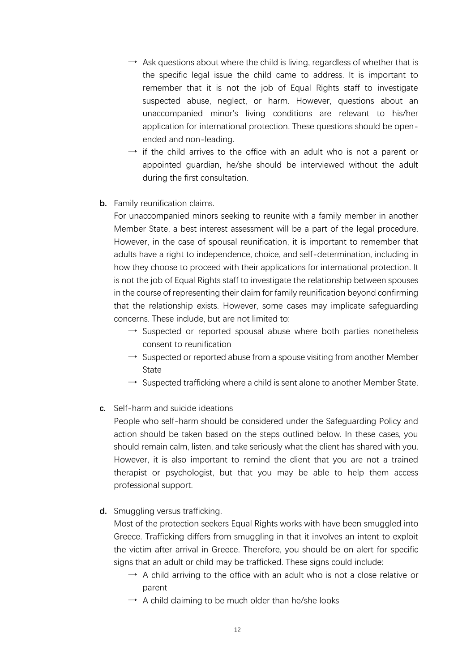- $\rightarrow$  Ask questions about where the child is living, regardless of whether that is the specific legal issue the child came to address. It is important to remember that it is not the job of Equal Rights staff to investigate suspected abuse, neglect, or harm. However, questions about an unaccompanied minor's living conditions are relevant to his/her application for international protection. These questions should be openended and non-leading.
- $\rightarrow$  if the child arrives to the office with an adult who is not a parent or appointed guardian, he/she should be interviewed without the adult during the first consultation.
- **b.** Family reunification claims.

For unaccompanied minors seeking to reunite with a family member in another Member State, a best interest assessment will be a part of the legal procedure. However, in the case of spousal reunification, it is important to remember that adults have a right to independence, choice, and self-determination, including in how they choose to proceed with their applications for international protection. It is not the job of Equal Rights staff to investigate the relationship between spouses in the course of representing their claim for family reunification beyond confirming that the relationship exists. However, some cases may implicate safeguarding concerns. These include, but are not limited to:

- $\rightarrow$  Suspected or reported spousal abuse where both parties nonetheless consent to reunification
- $\rightarrow$  Suspected or reported abuse from a spouse visiting from another Member State
- $\rightarrow$  Suspected trafficking where a child is sent alone to another Member State.
- **c.** Self-harm and suicide ideations

People who self-harm should be considered under the Safeguarding Policy and action should be taken based on the steps outlined below. In these cases, you should remain calm, listen, and take seriously what the client has shared with you. However, it is also important to remind the client that you are not a trained therapist or psychologist, but that you may be able to help them access professional support.

**d.** Smuggling versus trafficking.

Most of the protection seekers Equal Rights works with have been smuggled into Greece. Trafficking differs from smuggling in that it involves an intent to exploit the victim after arrival in Greece. Therefore, you should be on alert for specific signs that an adult or child may be trafficked. These signs could include:

- $\rightarrow$  A child arriving to the office with an adult who is not a close relative or parent
- $\rightarrow$  A child claiming to be much older than he/she looks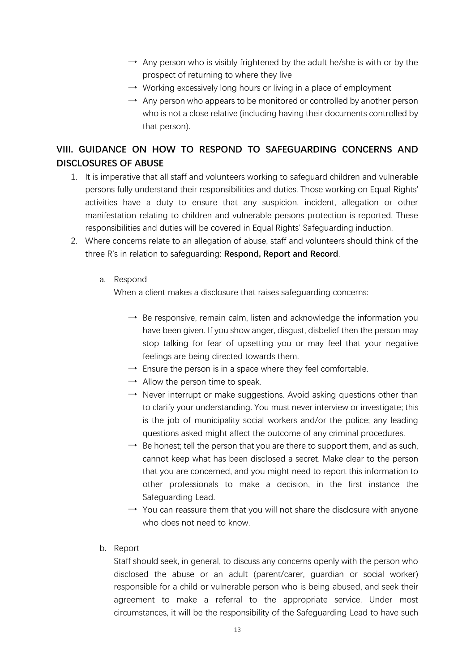- $\rightarrow$  Any person who is visibly frightened by the adult he/she is with or by the prospect of returning to where they live
- $\rightarrow$  Working excessively long hours or living in a place of employment
- $\rightarrow$  Any person who appears to be monitored or controlled by another person who is not a close relative (including having their documents controlled by that person).

# **VIII. GUIDANCE ON HOW TO RESPOND TO SAFEGUARDING CONCERNS AND DISCLOSURES OF ABUSE**

- 1. It is imperative that all staff and volunteers working to safeguard children and vulnerable persons fully understand their responsibilities and duties. Those working on Equal Rights' activities have a duty to ensure that any suspicion, incident, allegation or other manifestation relating to children and vulnerable persons protection is reported. These responsibilities and duties will be covered in Equal Rights' Safeguarding induction.
- 2. Where concerns relate to an allegation of abuse, staff and volunteers should think of the three R's in relation to safeguarding: **Respond, Report and Record**.

#### a. Respond

When a client makes a disclosure that raises safeguarding concerns:

- $\rightarrow$  Be responsive, remain calm, listen and acknowledge the information you have been given. If you show anger, disgust, disbelief then the person may stop talking for fear of upsetting you or may feel that your negative feelings are being directed towards them.
- $\rightarrow$  Ensure the person is in a space where they feel comfortable.
- $\rightarrow$  Allow the person time to speak.
- $\rightarrow$  Never interrupt or make suggestions. Avoid asking questions other than to clarify your understanding. You must never interview or investigate; this is the job of municipality social workers and/or the police; any leading questions asked might affect the outcome of any criminal procedures.
- $\rightarrow$  Be honest; tell the person that you are there to support them, and as such, cannot keep what has been disclosed a secret. Make clear to the person that you are concerned, and you might need to report this information to other professionals to make a decision, in the first instance the Safeguarding Lead.
- $\rightarrow$  You can reassure them that you will not share the disclosure with anyone who does not need to know.
- b. Report

Staff should seek, in general, to discuss any concerns openly with the person who disclosed the abuse or an adult (parent/carer, guardian or social worker) responsible for a child or vulnerable person who is being abused, and seek their agreement to make a referral to the appropriate service. Under most circumstances, it will be the responsibility of the Safeguarding Lead to have such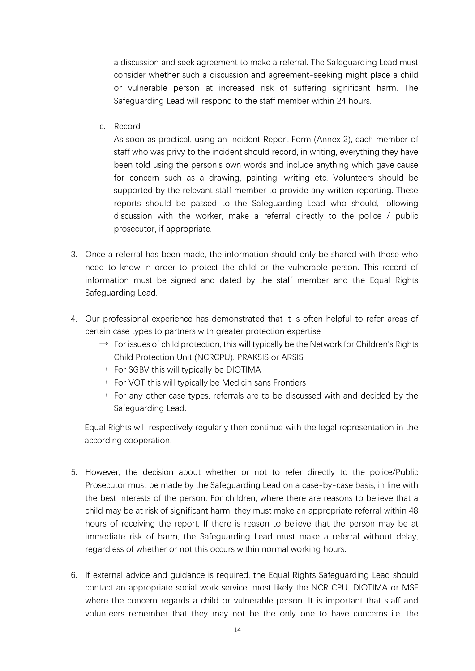a discussion and seek agreement to make a referral. The Safeguarding Lead must consider whether such a discussion and agreement-seeking might place a child or vulnerable person at increased risk of suffering significant harm. The Safeguarding Lead will respond to the staff member within 24 hours.

c. Record

As soon as practical, using an Incident Report Form (Annex 2), each member of staff who was privy to the incident should record, in writing, everything they have been told using the person's own words and include anything which gave cause for concern such as a drawing, painting, writing etc. Volunteers should be supported by the relevant staff member to provide any written reporting. These reports should be passed to the Safeguarding Lead who should, following discussion with the worker, make a referral directly to the police / public prosecutor, if appropriate.

- 3. Once a referral has been made, the information should only be shared with those who need to know in order to protect the child or the vulnerable person. This record of information must be signed and dated by the staff member and the Equal Rights Safeguarding Lead.
- 4. Our professional experience has demonstrated that it is often helpful to refer areas of certain case types to partners with greater protection expertise
	- $\rightarrow$  For issues of child protection, this will typically be the Network for Children's Rights Child Protection Unit (NCRCPU), PRAKSIS or ARSIS
	- $\rightarrow$  For SGBV this will typically be DIOTIMA
	- $\rightarrow$  For VOT this will typically be Medicin sans Frontiers
	- $\rightarrow$  For any other case types, referrals are to be discussed with and decided by the Safeguarding Lead.

Equal Rights will respectively regularly then continue with the legal representation in the according cooperation.

- 5. However, the decision about whether or not to refer directly to the police/Public Prosecutor must be made by the Safeguarding Lead on a case-by-case basis, in line with the best interests of the person. For children, where there are reasons to believe that a child may be at risk of significant harm, they must make an appropriate referral within 48 hours of receiving the report. If there is reason to believe that the person may be at immediate risk of harm, the Safeguarding Lead must make a referral without delay, regardless of whether or not this occurs within normal working hours.
- 6. If external advice and guidance is required, the Equal Rights Safeguarding Lead should contact an appropriate social work service, most likely the NCR CPU, DIOTIMA or MSF where the concern regards a child or vulnerable person. It is important that staff and volunteers remember that they may not be the only one to have concerns i.e. the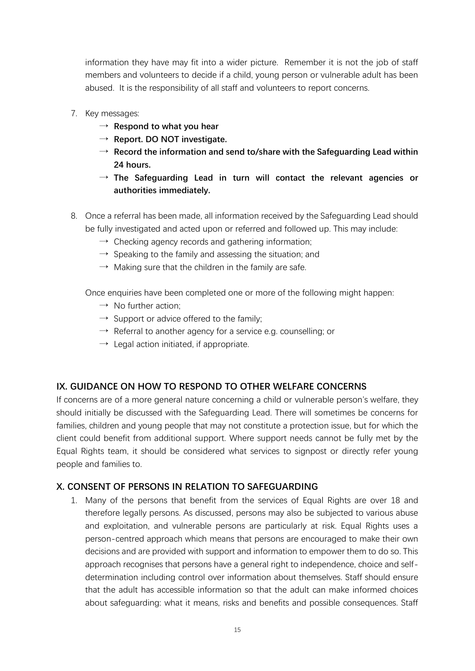information they have may fit into a wider picture. Remember it is not the job of staff members and volunteers to decide if a child, young person or vulnerable adult has been abused. It is the responsibility of all staff and volunteers to report concerns.

- 7. Key messages:
	- → **Respond to what you hear**
	- → **Report. DO NOT investigate.**
	- → **Record the information and send to/share with the Safeguarding Lead within 24 hours.**
	- → **The Safeguarding Lead in turn will contact the relevant agencies or authorities immediately.**
- 8. Once a referral has been made, all information received by the Safeguarding Lead should be fully investigated and acted upon or referred and followed up. This may include:
	- $\rightarrow$  Checking agency records and gathering information;
	- $\rightarrow$  Speaking to the family and assessing the situation; and
	- $\rightarrow$  Making sure that the children in the family are safe.

Once enquiries have been completed one or more of the following might happen:

- $\rightarrow$  No further action:
- $\rightarrow$  Support or advice offered to the family;
- $\rightarrow$  Referral to another agency for a service e.g. counselling; or
- $\rightarrow$  Legal action initiated, if appropriate.

## **IX. GUIDANCE ON HOW TO RESPOND TO OTHER WELFARE CONCERNS**

If concerns are of a more general nature concerning a child or vulnerable person's welfare, they should initially be discussed with the Safeguarding Lead. There will sometimes be concerns for families, children and young people that may not constitute a protection issue, but for which the client could benefit from additional support. Where support needs cannot be fully met by the Equal Rights team, it should be considered what services to signpost or directly refer young people and families to.

## **X. CONSENT OF PERSONS IN RELATION TO SAFEGUARDING**

1. Many of the persons that benefit from the services of Equal Rights are over 18 and therefore legally persons. As discussed, persons may also be subjected to various abuse and exploitation, and vulnerable persons are particularly at risk. Equal Rights uses a person-centred approach which means that persons are encouraged to make their own decisions and are provided with support and information to empower them to do so. This approach recognises that persons have a general right to independence, choice and selfdetermination including control over information about themselves. Staff should ensure that the adult has accessible information so that the adult can make informed choices about safeguarding: what it means, risks and benefits and possible consequences. Staff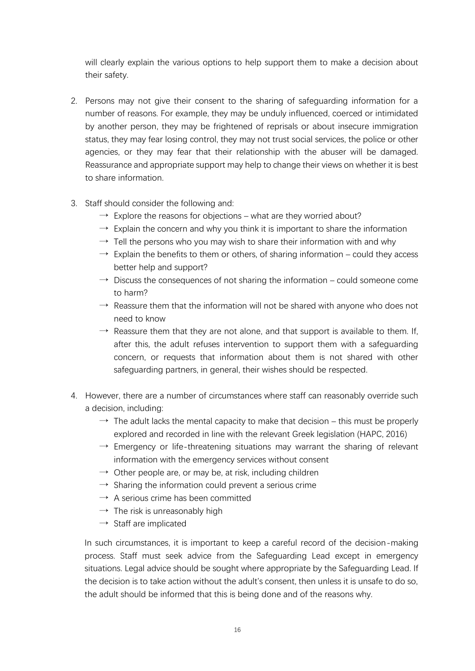will clearly explain the various options to help support them to make a decision about their safety.

- 2. Persons may not give their consent to the sharing of safeguarding information for a number of reasons. For example, they may be unduly influenced, coerced or intimidated by another person, they may be frightened of reprisals or about insecure immigration status, they may fear losing control, they may not trust social services, the police or other agencies, or they may fear that their relationship with the abuser will be damaged. Reassurance and appropriate support may help to change their views on whether it is best to share information.
- 3. Staff should consider the following and:
	- $\rightarrow$  Explore the reasons for objections what are they worried about?
	- $\rightarrow$  Explain the concern and why you think it is important to share the information
	- $\rightarrow$  Tell the persons who you may wish to share their information with and why
	- $\rightarrow$  Explain the benefits to them or others, of sharing information could they access better help and support?
	- $\rightarrow$  Discuss the consequences of not sharing the information could someone come to harm?
	- $\rightarrow$  Reassure them that the information will not be shared with anyone who does not need to know
	- $\rightarrow$  Reassure them that they are not alone, and that support is available to them. If, after this, the adult refuses intervention to support them with a safeguarding concern, or requests that information about them is not shared with other safeguarding partners, in general, their wishes should be respected.
- 4. However, there are a number of circumstances where staff can reasonably override such a decision, including:
	- $\rightarrow$  The adult lacks the mental capacity to make that decision this must be properly explored and recorded in line with the relevant Greek legislation (HAPC, 2016)
	- $\rightarrow$  Emergency or life-threatening situations may warrant the sharing of relevant information with the emergency services without consent
	- $\rightarrow$  Other people are, or may be, at risk, including children
	- $\rightarrow$  Sharing the information could prevent a serious crime
	- $\rightarrow$  A serious crime has been committed
	- $\rightarrow$  The risk is unreasonably high
	- $\rightarrow$  Staff are implicated

In such circumstances, it is important to keep a careful record of the decision-making process. Staff must seek advice from the Safeguarding Lead except in emergency situations. Legal advice should be sought where appropriate by the Safeguarding Lead. If the decision is to take action without the adult's consent, then unless it is unsafe to do so, the adult should be informed that this is being done and of the reasons why.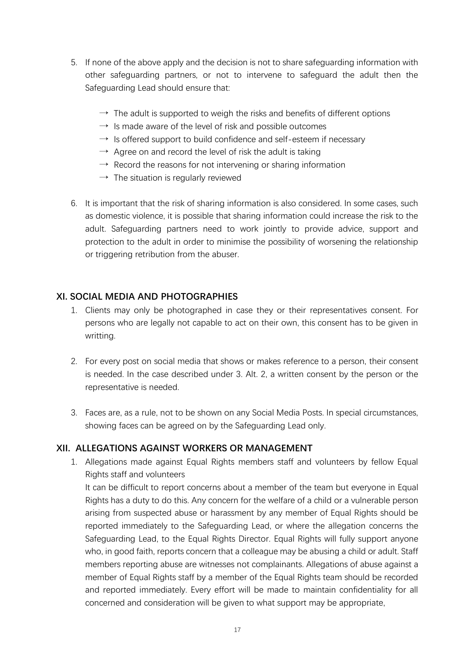- 5. If none of the above apply and the decision is not to share safeguarding information with other safeguarding partners, or not to intervene to safeguard the adult then the Safeguarding Lead should ensure that:
	- $\rightarrow$  The adult is supported to weigh the risks and benefits of different options
	- $\rightarrow$  Is made aware of the level of risk and possible outcomes
	- $\rightarrow$  Is offered support to build confidence and self-esteem if necessary
	- $\rightarrow$  Agree on and record the level of risk the adult is taking
	- $\rightarrow$  Record the reasons for not intervening or sharing information
	- $\rightarrow$  The situation is regularly reviewed
- 6. It is important that the risk of sharing information is also considered. In some cases, such as domestic violence, it is possible that sharing information could increase the risk to the adult. Safeguarding partners need to work jointly to provide advice, support and protection to the adult in order to minimise the possibility of worsening the relationship or triggering retribution from the abuser.

#### **XI. SOCIAL MEDIA AND PHOTOGRAPHIES**

- 1. Clients may only be photographed in case they or their representatives consent. For persons who are legally not capable to act on their own, this consent has to be given in writting.
- 2. For every post on social media that shows or makes reference to a person, their consent is needed. In the case described under 3. Alt. 2, a written consent by the person or the representative is needed.
- 3. Faces are, as a rule, not to be shown on any Social Media Posts. In special circumstances, showing faces can be agreed on by the Safeguarding Lead only.

#### **XII. ALLEGATIONS AGAINST WORKERS OR MANAGEMENT**

1. Allegations made against Equal Rights members staff and volunteers by fellow Equal Rights staff and volunteers It can be difficult to report concerns about a member of the team but everyone in Equal

Rights has a duty to do this. Any concern for the welfare of a child or a vulnerable person arising from suspected abuse or harassment by any member of Equal Rights should be reported immediately to the Safeguarding Lead, or where the allegation concerns the Safeguarding Lead, to the Equal Rights Director. Equal Rights will fully support anyone who, in good faith, reports concern that a colleague may be abusing a child or adult. Staff members reporting abuse are witnesses not complainants. Allegations of abuse against a member of Equal Rights staff by a member of the Equal Rights team should be recorded and reported immediately. Every effort will be made to maintain confidentiality for all concerned and consideration will be given to what support may be appropriate,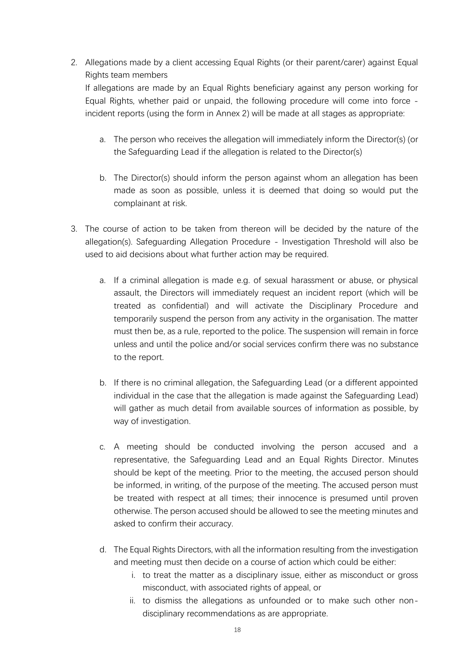2. Allegations made by a client accessing Equal Rights (or their parent/carer) against Equal Rights team members

If allegations are made by an Equal Rights beneficiary against any person working for Equal Rights, whether paid or unpaid, the following procedure will come into force incident reports (using the form in Annex 2) will be made at all stages as appropriate:

- a. The person who receives the allegation will immediately inform the Director(s) (or the Safeguarding Lead if the allegation is related to the Director(s)
- b. The Director(s) should inform the person against whom an allegation has been made as soon as possible, unless it is deemed that doing so would put the complainant at risk.
- 3. The course of action to be taken from thereon will be decided by the nature of the allegation(s). Safeguarding Allegation Procedure - Investigation Threshold will also be used to aid decisions about what further action may be required.
	- a. If a criminal allegation is made e.g. of sexual harassment or abuse, or physical assault, the Directors will immediately request an incident report (which will be treated as confidential) and will activate the Disciplinary Procedure and temporarily suspend the person from any activity in the organisation. The matter must then be, as a rule, reported to the police. The suspension will remain in force unless and until the police and/or social services confirm there was no substance to the report.
	- b. If there is no criminal allegation, the Safeguarding Lead (or a different appointed individual in the case that the allegation is made against the Safeguarding Lead) will gather as much detail from available sources of information as possible, by way of investigation.
	- c. A meeting should be conducted involving the person accused and a representative, the Safeguarding Lead and an Equal Rights Director. Minutes should be kept of the meeting. Prior to the meeting, the accused person should be informed, in writing, of the purpose of the meeting. The accused person must be treated with respect at all times; their innocence is presumed until proven otherwise. The person accused should be allowed to see the meeting minutes and asked to confirm their accuracy.
	- d. The Equal Rights Directors, with all the information resulting from the investigation and meeting must then decide on a course of action which could be either:
		- i. to treat the matter as a disciplinary issue, either as misconduct or gross misconduct, with associated rights of appeal, or
		- ii. to dismiss the allegations as unfounded or to make such other nondisciplinary recommendations as are appropriate.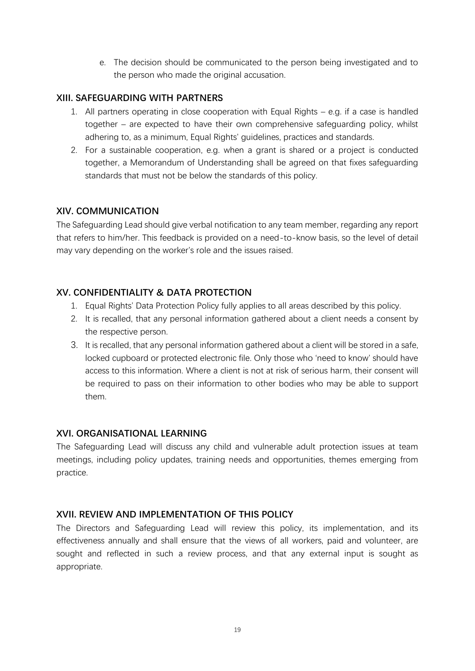e. The decision should be communicated to the person being investigated and to the person who made the original accusation.

## **XIII. SAFEGUARDING WITH PARTNERS**

- 1. All partners operating in close cooperation with Equal Rights e.g. if a case is handled together – are expected to have their own comprehensive safeguarding policy, whilst adhering to, as a minimum, Equal Rights' guidelines, practices and standards.
- 2. For a sustainable cooperation, e.g. when a grant is shared or a project is conducted together, a Memorandum of Understanding shall be agreed on that fixes safeguarding standards that must not be below the standards of this policy.

## **XIV. COMMUNICATION**

The Safeguarding Lead should give verbal notification to any team member, regarding any report that refers to him/her. This feedback is provided on a need-to-know basis, so the level of detail may vary depending on the worker's role and the issues raised.

## **XV. CONFIDENTIALITY & DATA PROTECTION**

- 1. Equal Rights' Data Protection Policy fully applies to all areas described by this policy.
- 2. It is recalled, that any personal information gathered about a client needs a consent by the respective person.
- 3. It is recalled, that any personal information gathered about a client will be stored in a safe, locked cupboard or protected electronic file. Only those who 'need to know' should have access to this information. Where a client is not at risk of serious harm, their consent will be required to pass on their information to other bodies who may be able to support them.

## **XVI. ORGANISATIONAL LEARNING**

The Safeguarding Lead will discuss any child and vulnerable adult protection issues at team meetings, including policy updates, training needs and opportunities, themes emerging from practice.

## **XVII. REVIEW AND IMPLEMENTATION OF THIS POLICY**

The Directors and Safeguarding Lead will review this policy, its implementation, and its effectiveness annually and shall ensure that the views of all workers, paid and volunteer, are sought and reflected in such a review process, and that any external input is sought as appropriate.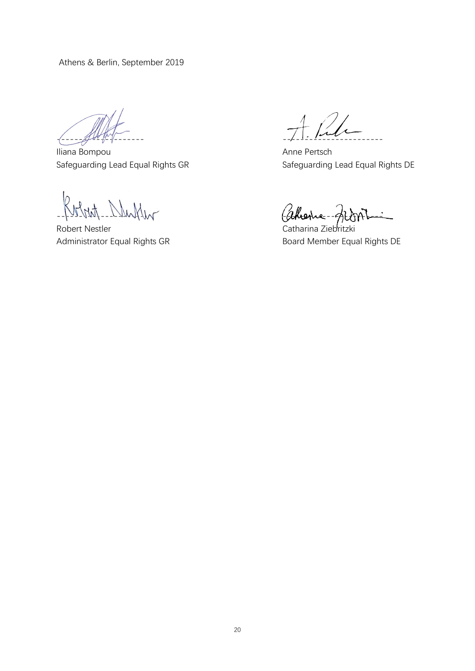Athens & Berlin, September 2019

-------------------- -----------------------

Iliana Bompou **Anne Pertsch** Anne Pertsch Safeguarding Lead Equal Rights GR Safeguarding Lead Equal Rights DE

Robert Nestler Catharina Ziebritzki

Instrumental Catherine

Administrator Equal Rights GR Board Member Equal Rights DE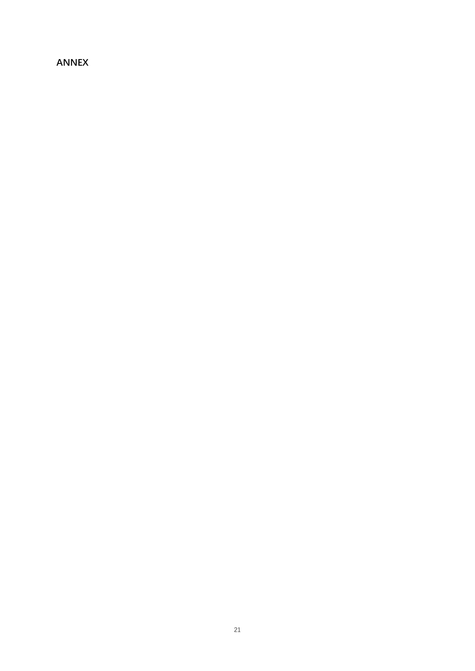# **ANNEX**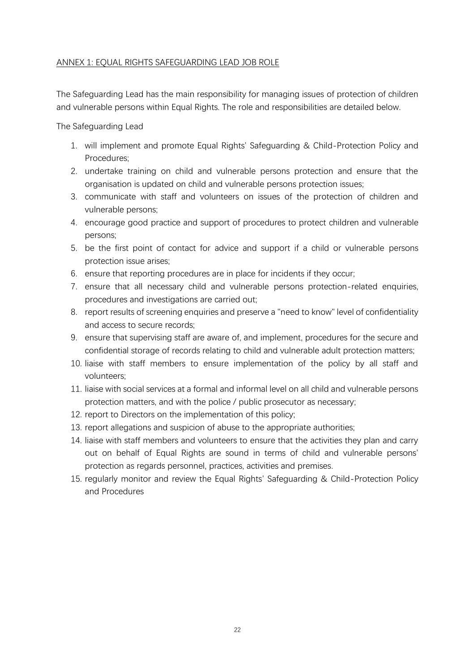#### ANNEX 1: EQUAL RIGHTS SAFEGUARDING LEAD JOB ROLE

The Safeguarding Lead has the main responsibility for managing issues of protection of children and vulnerable persons within Equal Rights. The role and responsibilities are detailed below.

The Safeguarding Lead

- 1. will implement and promote Equal Rights' Safeguarding & Child-Protection Policy and Procedures;
- 2. undertake training on child and vulnerable persons protection and ensure that the organisation is updated on child and vulnerable persons protection issues;
- 3. communicate with staff and volunteers on issues of the protection of children and vulnerable persons;
- 4. encourage good practice and support of procedures to protect children and vulnerable persons;
- 5. be the first point of contact for advice and support if a child or vulnerable persons protection issue arises;
- 6. ensure that reporting procedures are in place for incidents if they occur;
- 7. ensure that all necessary child and vulnerable persons protection-related enquiries, procedures and investigations are carried out;
- 8. report results of screening enquiries and preserve a "need to know" level of confidentiality and access to secure records;
- 9. ensure that supervising staff are aware of, and implement, procedures for the secure and confidential storage of records relating to child and vulnerable adult protection matters;
- 10. liaise with staff members to ensure implementation of the policy by all staff and volunteers;
- 11. liaise with social services at a formal and informal level on all child and vulnerable persons protection matters, and with the police / public prosecutor as necessary;
- 12. report to Directors on the implementation of this policy;
- 13. report allegations and suspicion of abuse to the appropriate authorities;
- 14. liaise with staff members and volunteers to ensure that the activities they plan and carry out on behalf of Equal Rights are sound in terms of child and vulnerable persons' protection as regards personnel, practices, activities and premises.
- 15. regularly monitor and review the Equal Rights' Safeguarding & Child-Protection Policy and Procedures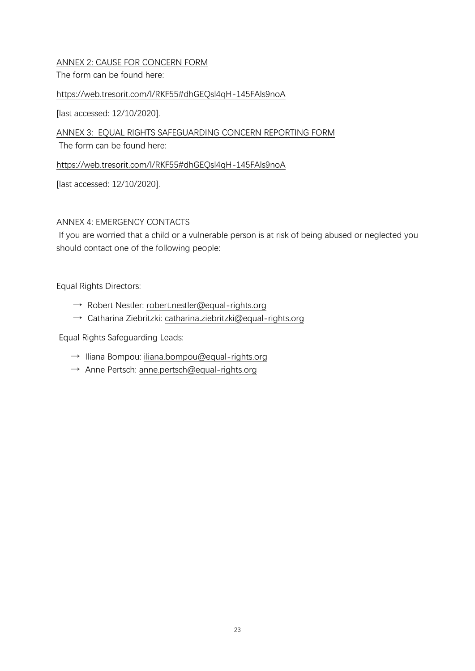#### ANNEX 2: CAUSE FOR CONCERN FORM

The form can be found here:

#### https://web.tresorit.com/l/RKF55#dhGEQsl4qH-145FAls9noA

[last accessed: 12/10/2020].

ANNEX 3: EQUAL RIGHTS SAFEGUARDING CONCERN REPORTING FORM

The form can be found here:

https://web.tresorit.com/l/RKF55#dhGEQsl4qH-145FAls9noA

[last accessed: 12/10/2020].

#### ANNEX 4: EMERGENCY CONTACTS

If you are worried that a child or a vulnerable person is at risk of being abused or neglected you should contact one of the following people:

Equal Rights Directors:

- $\rightarrow$  Robert Nestler: robert.nestler@equal-rights.org
- $\rightarrow$  Catharina Ziebritzki: catharina.ziebritzki@equal-rights.org

Equal Rights Safeguarding Leads:

- $\rightarrow$  Iliana Bompou: iliana.bompou@equal-rights.org
- → Anne Pertsch: anne.pertsch@equal-rights.org